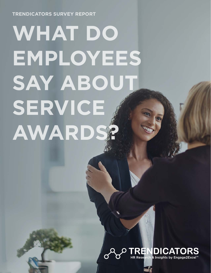**TRENDICATORS SURVEY REPORT** 

# **WHAT DO EMPLOYEES SAY ABOUT SERVICE AWARDS?**

### RENDICATO & Insights by Eng

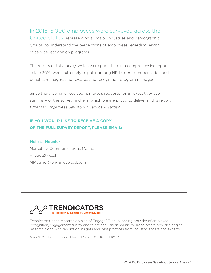In 2016, 5,000 employees were surveyed across the United states, representing all major industries and demographic

groups, to understand the perceptions of employees regarding length of service recognition programs.

The results of this survey, which were published in a comprehensive report in late 2016, were extremely popular among HR leaders, compensation and benefits managers and rewards and recognition program managers.

Since then, we have received numerous requests for an executive-level summary of the survey findings, which we are proud to deliver in this report, *What Do Employees Say About Service Awards?*

#### **IF YOU WOULD LIKE TO RECEIVE A COPY OF THE FULL SURVEY REPORT, PLEASE EMAIL:**

#### **Melissa Meunier**

Marketing Communications Manager Engage2Excel MMeunier@engage2excel.com



Trendicators is the research division of Engage2Excel, a leading provider of employee recognition, engagement survey and talent acquisition solutions. Trendicators provides original research along with reports on insights and best practices from industry leaders and experts.

© COPYRIGHT 2017 ENGAGE2EXCEL, INC. ALL RIGHTS RESERVED.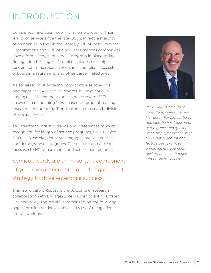## INTRODUCTION

Companies have been recognizing employees for their length of service since the late 1800s. In fact, a majority of companies in the United States (90% of Best Practices Organizations and 76% of Non-Best Practices companies) have a formal length of service program in place today. Recognition for length of service includes not only recognition for service anniversaries, but also successful onboarding, retirement, and other career milestones.

As social recognition technology continues to evolve, one might ask, "Are service awards still relevant? Do employees still see the value in service awards?" The answer is a resounding "Yes," based on groundbreaking research conducted by Trendicators, the research division of Engage2Excel.

To understand industry trends and preferences towards recognition for length of service programs, we surveyed 5,000 U.S. employees, representing all major industries and demographic categories. The results send a clear message to HR departments and senior management:

## Service awards are an important component of your overall recognition and engagement strategy to drive enterprise success.

This Trendicators Report is the outcome of research collaboration with Engage2Excel's Chief Scientific Officer, Dr. Jack Wiley. The results, summarized on the following pages, provide readers an unbiased view of recognition in today's workforce.



*Jack Wiley is an author, consultant, researcher and instructor. For almost three decades, he has focused on two big research questions: what employees most want, and what organizational factors best promote employee engagement, performance confidence and business success.*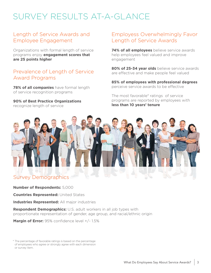# SURVEY RESULTS AT-A-GLANCE

#### Length of Service Awards and Employee Engagement

Organizations with formal length of service programs enjoy **engagement scores that are 25 points higher**

#### Prevalence of Length of Service Award Programs

**78% of all companies** have formal length of service recognition programs

**90% of Best Practice Organizations** recognize length of service

#### Employess Overwhelmingly Favor Length of Service Awards

**74% of all employees** believe service awards help employees feel valued and improve engagement

**80% of 25-34 year olds** believe service awards are effective and make people feel valued

**85% of employees with professional degrees** perceive service awards to be effective

The most favorable\* ratings of service programs are reported by employees with **less than 10 years' tenure**



**Number of Respondents:** 5,000

**Countries Represented:** United States

**Industries Represented:** All major industries

**Respondent Demographics:** U.S. adult workers in all job types with proportionate representation of gender, age group, and racial/ethnic origin

**Margin of Error:** 95% confidence level +/- 1.5%

\* The percentage of favorable ratings is based on the percentage of employees who agree or strongly agree with each dimension or survey item.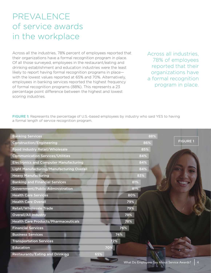## PREVALENCE of service awards in the workplace

Across all the industries, 78% percent of employees reported that their organizations have a formal recognition program in place. Of all those surveyed, employees in the restaurant/eating and drinking establishment and education industries were the least likely to report having formal recognition programs in place with the lowest values reported at 65% and 70%. Alternatively, employees in banking services reported the highest frequency of formal recognition programs (88%). This represents a 23 percentage point difference between the highest and lowest scoring industries.

Across all industries, 78% of employees reported that their organizations have a formal recognition program in place.

FIGURE 1: Represents the percentage of U.S.-based employees by industry who said YES to having a formal length of service recognition program.

| <b>Banking Services</b>                       | 88% |
|-----------------------------------------------|-----|
| <b>Construction/Engineering</b>               | 86% |
| Food Industry Retail/Wholesale                | 85% |
| <b>Communication Services/Utilities</b>       | 84% |
| <b>Electronics and Computer Manufacturing</b> | 84% |
| Light Manufacturing/Manufacturing Overall     | 84% |
| <b>Heavy Manufacturing</b>                    | 83% |
| <b>Banking and Financial Services</b>         | 81% |
| Government/Public Administration              | 81% |
| <b>Health Care Services</b>                   | 80% |
| <b>Health Care Overall</b>                    | 79% |
| <b>Retail/Wholesale Trade</b>                 | 79% |
| <b>Overall/All Industry</b>                   | 78% |
| <b>Health Care Products/Pharmaceuticals</b>   | 78% |
| <b>Financial Services</b>                     | 76% |
| <b>Business Services</b>                      | 74% |
| <b>Transportation Services</b>                | 72% |
| <b>Education</b>                              | 70% |
| <b>Restaurants/Eating and Drinking</b><br>65% |     |
|                                               |     |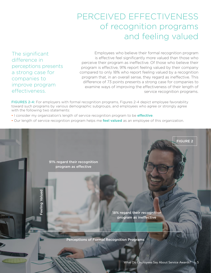## PERCEIVED EFFECTIVENESS of recognition programs and feeling valued

The significant difference in perceptions presents a strong case for companies to improve program effectiveness.

Employees who believe their formal recognition program is effective feel significantly more valued than those who perceive their program as ineffective. Of those who believe their program is effective, 91% report feeling valued by their company compared to only 18% who report feeling valued by a recognition program that, in an overall sense, they regard as ineffective. This difference of 73 points presents a strong case for companies to examine ways of improving the effectiveness of their length of service recognition programs.

FIGURES 2-4: For employers with formal recognition programs, Figures 2-4 depict employee favorability toward such programs by various demographic subgroups, and employees who agree or strongly agree with the following two statements:

- I consider my organization's length of service recognition program to be **effective**.
- Our length of service recognition program helps me **feel valued** as an employee of this organization.

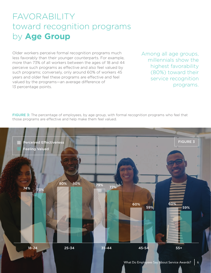## FAVORABILITY toward recognition programs by **Age Group**

Older workers perceive formal recognition programs much less favorably than their younger counterparts. For example, more than 73% of all workers between the ages of 18 and 44 perceive such programs as effective and also feel valued by such programs; conversely, only around 60% of workers 45 years and older feel these programs are effective and feel valued by the programs—an average difference of 13 percentage points.

Among all age groups, millennials show the highest favorability (80%) toward their service recognition programs.

FIGURE 3: The percentage of employees, by age group, with formal recognition programs who feel that those programs are effective and help make them feel valued.

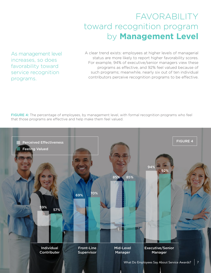## FAVORABILITY toward recognition program by **Management Level**

As management level increases, so does favorability toward service recognition programs.

A clear trend exists: employees at higher levels of managerial status are more likely to report higher favorability scores. For example, 94% of executive/senior managers view these programs as effective, and 92% feel valued because of such programs; meanwhile, nearly six out of ten individual contributors perceive recognition programs to be effective.

FIGURE 4: The percentage of employees, by management level, with formal recognition programs who feel that those programs are effective and help make them feel valued.

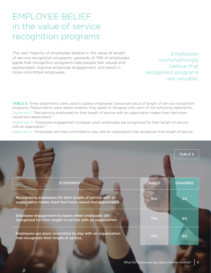## EMPLOYEE BELIEF in the value of service recognition programs

The vast majority of employees believe in the value of length of service recognition programs; upwards of 74% of employees agree that recognition programs help people feel valued and appreciated, improve employee engagement, and result in more committed employees.

Employees overwhelmingly believe that recognition programs are valuable.

**TABLE 5:** Three statements were used to assess employees' perceived value of length of service recognition programs. Respondents were asked whether they agree or disagree with each of the following statements: Statement 1: "Recognizing employees for their length of service with an organization makes them feel more valued and appreciated."

Statement 2: "Employee engagement increases when employees are recognized for their length of service with an organization."

Statement 3: "Employees are more committed to stay with an organization that recognizes their length of service."